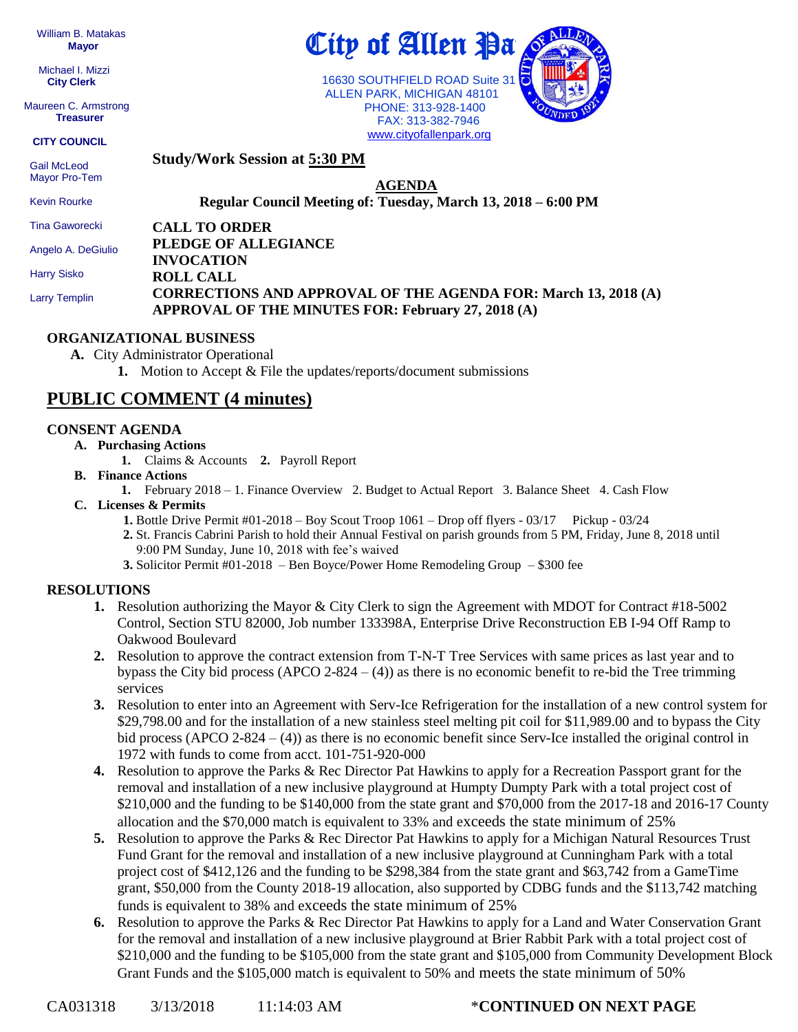William B. Matakas  **Mayor**

 Michael I. Mizzi **City Clerk**

Maureen C. Armstrong **Treasurer**

**CITY COUNCIL**

**Study/Work Session at 5:30 PM**

 Gail McLeod Mayor Pro-Tem

Kevin Rourke

**AGENDA Regular Council Meeting of: Tuesday, March 13, 2018 – 6:00 PM** 

**CALL TO ORDER** Tina Gaworecki

Angelo A. DeGiulio

Harry Sisko

Larry Templin

#### **PLEDGE OF ALLEGIANCE INVOCATION ROLL CALL CORRECTIONS AND APPROVAL OF THE AGENDA FOR: March 13, 2018 (A) APPROVAL OF THE MINUTES FOR: February 27, 2018 (A)**

#### **ORGANIZATIONAL BUSINESS**

**A.** City Administrator Operational

**1.** Motion to Accept & File the updates/reports/document submissions

## **PUBLIC COMMENT (4 minutes)**

#### **CONSENT AGENDA**

- **A. Purchasing Actions**
	- **1.** Claims & Accounts **2.** Payroll Report
- **B. Finance Actions**
	- **1.** February 2018 1. Finance Overview 2. Budget to Actual Report 3. Balance Sheet 4. Cash Flow
- **C. Licenses & Permits**
	- **1.** Bottle Drive Permit #01-2018 Boy Scout Troop 1061 Drop off flyers 03/17 Pickup 03/24
	- **2.** St. Francis Cabrini Parish to hold their Annual Festival on parish grounds from 5 PM, Friday, June 8, 2018 until 9:00 PM Sunday, June 10, 2018 with fee's waived
	- **3.** Solicitor Permit #01-2018 Ben Boyce/Power Home Remodeling Group \$300 fee

#### **RESOLUTIONS**

- **1.** Resolution authorizing the Mayor & City Clerk to sign the Agreement with MDOT for Contract #18-5002 Control, Section STU 82000, Job number 133398A, Enterprise Drive Reconstruction EB I-94 Off Ramp to Oakwood Boulevard
- **2.** Resolution to approve the contract extension from T-N-T Tree Services with same prices as last year and to bypass the City bid process  $(APCO 2-824 - (4))$  as there is no economic benefit to re-bid the Tree trimming services
- **3.** Resolution to enter into an Agreement with Serv-Ice Refrigeration for the installation of a new control system for \$29,798.00 and for the installation of a new stainless steel melting pit coil for \$11,989.00 and to bypass the City bid process (APCO 2-824 – (4)) as there is no economic benefit since Serv-Ice installed the original control in 1972 with funds to come from acct. 101-751-920-000
- **4.** Resolution to approve the Parks & Rec Director Pat Hawkins to apply for a Recreation Passport grant for the removal and installation of a new inclusive playground at Humpty Dumpty Park with a total project cost of \$210,000 and the funding to be \$140,000 from the state grant and \$70,000 from the 2017-18 and 2016-17 County allocation and the \$70,000 match is equivalent to 33% and exceeds the state minimum of 25%
- **5.** Resolution to approve the Parks & Rec Director Pat Hawkins to apply for a Michigan Natural Resources Trust Fund Grant for the removal and installation of a new inclusive playground at Cunningham Park with a total project cost of \$412,126 and the funding to be \$298,384 from the state grant and \$63,742 from a GameTime grant, \$50,000 from the County 2018-19 allocation, also supported by CDBG funds and the \$113,742 matching funds is equivalent to 38% and exceeds the state minimum of 25%
- **6.** Resolution to approve the Parks & Rec Director Pat Hawkins to apply for a Land and Water Conservation Grant for the removal and installation of a new inclusive playground at Brier Rabbit Park with a total project cost of \$210,000 and the funding to be \$105,000 from the state grant and \$105,000 from Community Development Block Grant Funds and the \$105,000 match is equivalent to 50% and meets the state minimum of 50%



 ALLEN PARK, MICHIGAN 48101 PHONE: 313-928-1400 FAX: 313-382-7946 [www.cityofallenpark.org](http://www.cityofallenpark.org/)